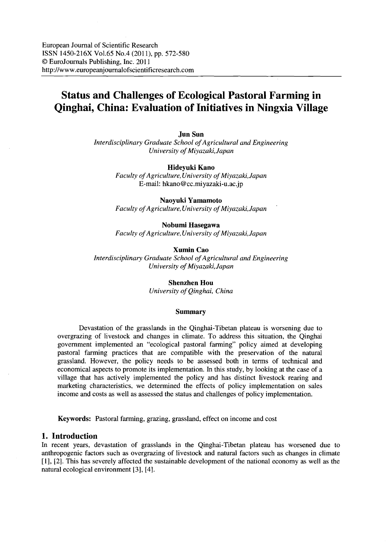European Journal of Scientific Research ISSN 1450-216X Vo1.65 No.4 (2011), pp. 572-580 © EuroJournals Publishing, Inc. 2011 http://www.europeanjournalofscientificresearch.com

# **Status and Challenges of Ecological Pastoral Farming in Qinghai, China: Evaluation ofInitiatives in Ningxia Village**

**Jun Sun**

*Interdisciplinary Graduate School of Agricultural and Engineering University ofMiyazaki,Japan*

**Hideyuki Kano**

*Faculty ofAgriculture, University ofMiyazaki,Japan* E-mail: hkano@cc.miyazaki-u.ac.jp

**Naoyuki Yamamoto**

*Faculty ofAgriculture, University ofMiyazaki,Japan*

#### **Nobumi Hasegawa**

*Faculty ofAgriculture, University ofMiyazaki,Japan*

**Xumin Cao** *Interdisciplinary Graduate School of Agricultural and Engineering University ofMiyazaki,Japan*

> **Shenzhen Hou** *University ofQinghai, China*

#### **Summary**

Devastation of the grasslands in the Qinghai-Tibetan plateau is worsening due to overgrazing of livestock and changes in climate. To address this situation, the Qinghai government implemented an "ecological pastoral farming" policy aimed at developing pastoral farming practices that are compatible with the preservation of the natural grassland. However, the policy needs to be assessed both in terms of technical and economical aspects to promote its implementation. In this study, by looking at the case of a village that has actively implemented the policy and has distinct livestock rearing and marketing characteristics, we determined the effects of policy implementation on sales income and costs as well as assessed the status and challenges of policy implementation.

**Keywords:** Pastoral farming, grazing, grassland, effect on income and cost

## **1. Introduction**

In recent years, devastation of grasslands in the Qinghai-Tibetan plateau has worsened due to anthropogenic factors such as overgrazing of livestock and natural factors such as changes in climate [1], [2]. This has severely affected the sustainable development of the national economy as well as the natural ecological environment [3], [4].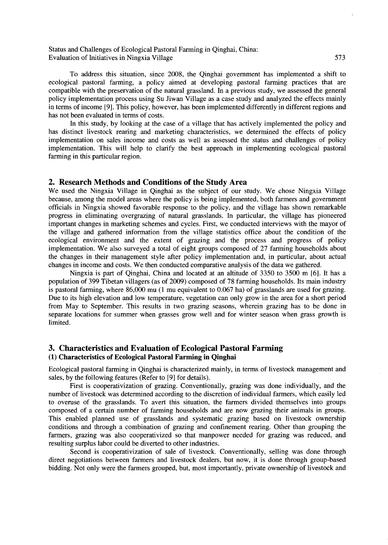Status and Challenges of Ecological Pastoral Farming in Qinghai, China: Evaluation of Initiatives in Ningxia Village 573

To address this situation, since 2008, the Qinghai government has implemented a shift to ecological pastoral farming, a policy aimed at developing pastoral farming practices that are compatible with the preservation of the natural grassland. In a previous study, we assessed the general policy implementation process using Su Jiwan Village as a case study and analyzed the effects mainly in terms of income [9]. This policy, however, has been implemented differently in different regions and has not been evaluated in terms of costs.

In this study, by looking at the case of a village that has actively implemented the policy and has distinct livestock rearing and marketing characteristics, we determined the effects of policy implementation on sales income and costs as well as assessed the status and challenges of policy implementation. This will help to clarify the best approach in implementing ecological pastoral farming in this particular region.

## 2. Research Methods and Conditions of the Study Area

We used the Ningxia Village in Qinghai as the subject of our study. We chose Ningxia Village because, among the model areas where the policy is being implemented, both farmers and government officials in Ningxia showed favorable response to the policy, and the village has shown remarkable progress in eliminating overgrazing of natural grasslands. In particular, the village has pioneered important changes in marketing schemes and cycles. First, we conducted interviews with the mayor of the village and gathered information from the village statistics office about the condition of the ecological environment and the extent of grazing and the process and progress of policy implementation. We also surveyed a total of eight groups composed of 27 farming households about the changes in their management style after policy implementation and, in particular, about actual changes in income and costs. We then conducted comparative analysis of the data we gathered.

Ningxia is part of Qinghai, China and located at an altitude of 3350 to 3500 m [6]. It has a population of 399 Tibetan villagers (as of 2009) composed of 78 farming households. Its main industry is pastoral farming, where 86,000 mu (l mu equivalent to 0.067 ha) of grasslands are used for grazing. Due to its high elevation and low temperature. vegetation can only grow in the area for a short period from May to September. This results in two grazing seasons, wherein grazing has to be done in separate locations for summer when grasses grow well and for winter season when grass growth is limited.

## 3. Characteristics and Evaluation of Ecological Pastoral Farming (1) Characteristics of Ecological Pastoral Farming in Qinghai

Ecological pastoral farming in Qinghai is characterized mainly, in terms of livestock management and sales, by the following features (Refer to [9] for details).

First is cooperativization of grazing. Conventionally, grazing was done individually, and the number of livestock was determined according to the discretion of individual farmers, which easily led to overuse of the grasslands. To avert this situation, the farmers divided themselves into groups composed of a certain number of farming households and are now grazing their animals in groups. This enabled planned use of grasslands and systematic grazing based on livestock ownership conditions and through a combination of grazing and confinement rearing. Other than grouping the farmers, grazing was also cooperativized so that manpower needed for grazing was reduced, and resulting surplus labor could be diverted to other industries.

Second is cooperativization of sale of livestock. Conventionally, selling was done through direct negotiations between farmers and livestock dealers, but now, it is done through group-based bidding. Not only were the farmers grouped, but, most importantly, private ownership of livestock and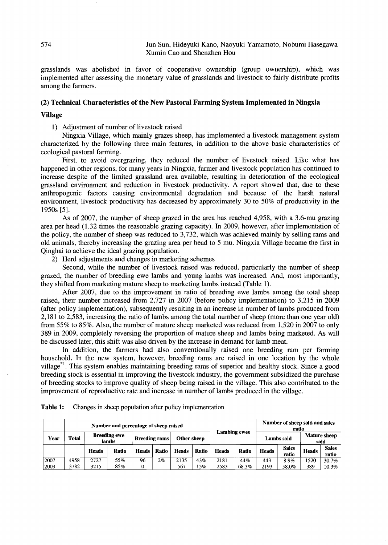grasslands was abolished in favor of cooperative ownership (group ownership), which was implemented after assessing the monetary value of grasslands and livestock to fairly distribute profits among the farmers.

#### (2) Technical Characteristics of the New Pastoral Farming System Implemented in Ningxia

#### Village

1) Adjustment of number of livestock raised

Ningxia Village, which mainly grazes sheep, has implemented a livestock management system characterized by the following three main features, in addition to the above basic characteristics of ecological pastoral farming.

First, to avoid overgrazing, they reduced the number of livestock raised. Like what has happened in other regions, for many years in Ningxia, farmer and livestock population has continued to increase despite of the limited grassland area available, resulting in deterioration of the ecological grassland environment and reduction in livestock productivity. A report showed that, due to these anthropogenic factors causing environmental degradation and because of the harsh natural environment, livestock productivity has decreased by approximately 30 to 50% of productivity in the 1950s [5].

As of 2007, the number of sheep grazed in the area has reached 4,958, with a 3.6-mu grazing area per head (1.32 times the reasonable grazing capacity). In 2009, however, after implementation of the policy, the number of sheep was reduced to 3,732, which was achieved mainly by selling rams and old animals, thereby increasing the grazing area per head to 5 mu. Ningxia Village became the first in Qinghai to achieve the ideal grazing population.

2) Herd adjustments and changes in marketing schemes

Second, while the number of livestock raised was reduced, particularly the number of sheep grazed, the number of breeding ewe lambs and young lambs was increased. And, most importantly, they shifted from marketing mature sheep to marketing lambs instead (Table 1).

After 2007, due to the improvement in ratio of breeding ewe lambs among the total sheep raised, their number increased from 2,727 in 2007 (before policy implementation) to 3,215 in 2009 (after policy implementation), subsequently resulting in an increase in number of lambs produced from 2,181 to 2,583, increasing the ratio of lambs among the total number of sheep (more than one year old) from 55% to 85%. Also, the number of mature sheep marketed was reduced from 1,520 in 2007 to only 389 in 2009, completely reversing the proportion of mature sheep and lambs being marketed. As will be discussed later, this shift was also driven by the increase in demand for lamb meat.

In addition, the farmers had also conventionally raised one breeding ram per farming household. In the new system, however, breeding rams are raised in one location by the whole village<sup>\*1</sup>. This system enables maintaining breeding rams of superior and healthy stock. Since a good breeding stock is essential in improving the livestock industry, the government subsidized the purchase of breeding stocks to improve quality of sheep being raised in the village. This also contributed to the improvement of reproductive rate and increase in number of lambs produced in the village.

|              |              | Number and percentage of sheep raised                                               |            |              |            |              |              |                             |              | Number of sheep sold and sales<br>ratio |                       |              |                       |
|--------------|--------------|-------------------------------------------------------------------------------------|------------|--------------|------------|--------------|--------------|-----------------------------|--------------|-----------------------------------------|-----------------------|--------------|-----------------------|
| Year         | Total        | <b>Lambing ewes</b><br><b>Breeding ewe</b><br>Other sheep<br>Breeding rams<br>lambs |            |              | Lambs sold |              |              | <b>Mature sheep</b><br>sold |              |                                         |                       |              |                       |
|              |              | <b>Heads</b>                                                                        | Ratio      | <b>Heads</b> | Ratio      | <b>Heads</b> | <b>Ratio</b> | <b>Heads</b>                | Ratio        | <b>Heads</b>                            | <b>Sales</b><br>ratio | <b>Heads</b> | <b>Sales</b><br>ratio |
| 2007<br>2009 | 4958<br>3782 | 2727<br>3215                                                                        | 55%<br>85% | 96<br>0      | 2%         | 2135<br>567  | 43%<br>15%   | 2181<br>2583                | 44%<br>68.3% | 443<br>2193                             | 8.9%<br>58.0%         | 1520<br>389  | 30.7%<br>$10.3\%$     |

Table 1: Changes in sheep population after policy implementation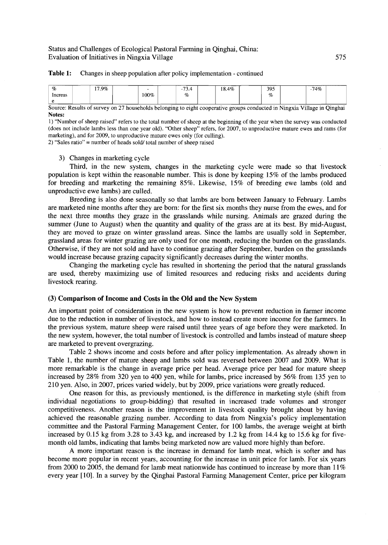## Status and Challenges of Ecological Pastoral Farming in Oinghai, China: Evaluation of Initiatives in Ningxia Village

#### Table 1: Changes in sheep population after policy implementation - continued

| %<br>Increas | 17.9% | -<br>100% | $\sim$<br>$\overline{\phantom{a}}$<br>- ، ب<br>$\%$ | 18.4% | 395<br>$\tilde{\phantom{a}}$<br>% | 74% |  |
|--------------|-------|-----------|-----------------------------------------------------|-------|-----------------------------------|-----|--|
|              |       |           |                                                     |       |                                   |     |  |

Source: Results of survey on 27 households belonging to eight cooperative groups conducted in Ningxia Village in Qinghai Notes:

1) "Number of sheep raised" refers to the total number of sheep at the beginning of the year when the survey was conducted (does not include lambs less than one year old). "Other sheep" refers, for 2007, to unproductive mature ewes and rams (for marketing), and for 2009, to unproductive mature ewes only (for culling).

2) "Sales ratio" = number of heads sold/total number of sheep raised

#### 3) Changes in marketing cycle

Third, in the new system, changes in the marketing cycle were made so that livestock population is kept within the reasonable number. This is done by keeping 15% of the lambs produced for breeding and marketing the remaining 85%. Likewise, 15% of breeding ewe lambs (old and unproductive ewe lambs) are culled.

Breeding is also done seasonally so that lambs are born between January to February. Lambs are marketed nine months after they are born: for the first six months they nurse from the ewes, and for the next three months they graze in the grasslands while nursing. Animals are grazed during the summer (June to August) when the quantity and quality of the grass are at its best. By mid-August, they are moved to graze on winter grassland areas. Since the lambs are usually sold in September, grassland areas for winter grazing are only used for one month, reducing the burden on the grasslands. Otherwise, if they are not sold and have to continue grazing after September, burden on the grasslands would increase because grazing capacity significantly decreases during the winter months.

Changing the marketing cycle has resulted in shortening the period that the natural grasslands are used, thereby maximizing use of limited resources and reducing risks and accidents during livestock rearing.

### (3) Comparison of Income and Costs in the Old and the New System

An important point of consideration in the new system is how to prevent reduction in farmer income due to the reduction in number of livestock, and how to instead create more income for the fanners. In the previous system, mature sheep were raised until three years of age before they were marketed. In the new system, however, the total number of livestock is controlled and lambs instead of mature sheep are marketed to prevent overgrazing.

Table 2 shows income and costs before and after policy implementation. As already shown in Table 1, the number of mature sheep and lambs sold was reversed between 2007 and 2009. What is more remarkable is the change in average price per head. Average price per head for mature sheep increased by 28% from 320 yen to 400 yen, while for lambs, price increased by 56% from 135 yen to 210 yen. Also, in 2007, prices varied widely, but by 2009, price variations were greatly reduced.

One reason for this, as previously mentioned, is the difference in marketing style (shift from individual negotiations to group-bidding) that resulted in increased trade volumes and stronger competitiveness. Another reason is the improvement in livestock quality brought about by having achieved the reasonable grazing number. According to data from Ningxia's policy implementation committee and the Pastoral Farming Management Center, for 100 lambs, the average weight at birth increased by 0.15 kg from 3.28 to 3.43 kg, and increased by 1.2 kg from 14.4 kg to 15.6 kg for fivemonth old lambs, indicating that lambs being marketed now are valued more highly than before.

A more important reason is the increase in demand for lamb meat, which is softer and has become more popular in recent years, accounting for the increase in unit price for lamb. For six years from 2000 to 2005, the demand for lamb meat nationwide has continued to increase by more than 11% every year [10]. In a survey by the Qinghai Pastoral Fanning Management Center, price per kilogram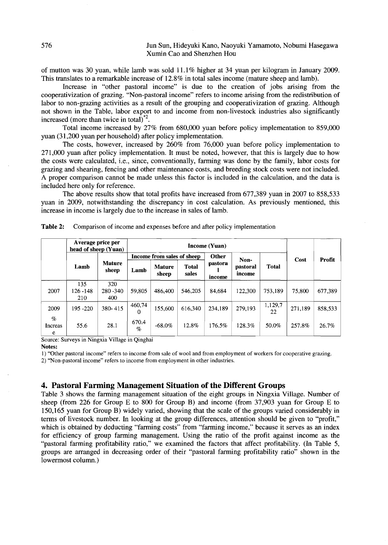of mutton was 30 yuan, while lamb was sold 11.1 % higher at 34 yuan per kilogram in January 2009. This translates to a remarkable increase of 12.8% in total sales income (mature sheep and lamb).

Increase in "other pastoral income" is due to the creation of jobs arising from the cooperativization of grazing. "Non-pastoral income" refers to income arising from the redistribution of labor to non-grazing activities as a result of the grouping and cooperativization of grazing. Although not shown in the Table, labor export to and income from non-livestock industries also significantly increased (more than twice in total)\*2.

Total income increased by 27% from 680,000 yuan before policy implementation to 859,000 yuan (31,200 yuan per household) after policy implementation.

The costs, however, increased by 260% from 76,000 yuan before policy implementation to 271,000 yuan after policy implementation. It must be noted, however, that this is largely due to how the costs were calculated, i.e., since, conventionally, farming was done by the family, labor costs for grazing and shearing, fencing and other maintenance costs, and breeding stock costs were not included. A proper comparison cannot be made unless this factor is included in the calculation, and the data is included here only for reference.

The above results show that total profits have increased from 677,389 yuan in 2007 to 858,533 yuan in 2009, notwithstanding the discrepancy in cost calculation. As previously mentioned, this increase in income is largely due to the increase in sales of lamb.

|                      | Average price per<br>head of sheep (Yuan) |                           |               |                            |                       |                   |                    |               |         |         |  |
|----------------------|-------------------------------------------|---------------------------|---------------|----------------------------|-----------------------|-------------------|--------------------|---------------|---------|---------|--|
|                      |                                           |                           |               | Income from sales of sheep |                       | Other             | Non-               |               | Cost    | Profit  |  |
|                      | Lamb                                      | <b>Mature</b><br>sheep    | Lamb          | <b>Mature</b><br>sheep     | <b>Total</b><br>sales | pastora<br>income | pastoral<br>income | <b>Total</b>  |         |         |  |
| 2007                 | 135<br>$126 - 148$<br>210                 | 320<br>$280 - 340$<br>400 | 59,805        | 486.400                    | 546.205               | 84,684            | 122,300            | 753,189       | 75,800  | 677,389 |  |
| 2009                 | 195 - 220                                 | 380-415                   | 460,74<br>0   | 155,600                    | 616,340               | 234,189           | 279,193            | 1,129,7<br>22 | 271,189 | 858,533 |  |
| $\%$<br>Increas<br>e | 55.6                                      | 28.1                      | 670.4<br>$\%$ | $-68.0\%$                  | 12.8%                 | 176.5%            | 128.3%             | 50.0%         | 257.8%  | 26.7%   |  |

| Table 2:<br>Comparison of income and expenses before and after policy implementation |
|--------------------------------------------------------------------------------------|
|--------------------------------------------------------------------------------------|

Source: Surveys in Ningxia Village in Oinghai

#### Notes:

1) "Other pastoral income" refers to income from sale of wool and from employment of workers for cooperative grazing.

2) "Non-pastoral income" refers to income from employment in other industries.

## **4. Pastoral Farming Management Situation of the Different Groups**

Table 3 shows the farming management situation of the eight groups in Ningxia Village. Number of sheep (from 226 for Group E to 800 for Group B) and income (from 37,903 yuan for Group E to 150,165 yuan for Group B) widely varied, showing that the scale of the groups varied considerably in terms of livestock number. In looking at the group differences, attention should be given to "profit," which is obtained by deducting "farming costs" from "farming income," because it serves as an index for efficiency of group farming management. Using the ratio of the profit against income as the "pastoral farming profitability ratio," we examined the factors that affect profitability. (In Table 5, groups are arranged in decreasing order of their "pastoral farming profitability ratio" shown in the lowermost column.)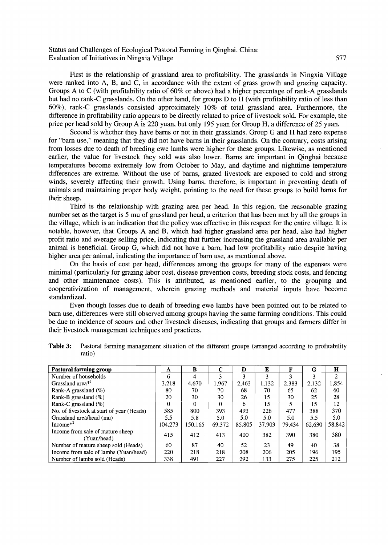Status and Challenges of Ecological Pastoral Farming in Qinghai, China: Evaluation of Initiatives in Ningxia Village 577

First is the relationship of grassland area to profitability. The grasslands in Ningxia Village were ranked into A, B, and C, in accordance with the extent of grass growth and grazing capacity. Groups A to C (with profitability ratio of 60% or above) had a higher percentage of rank-A grasslands but had no rank-C grasslands. On the other hand, for groups D to H (with profitability ratio of less than 60%), rank-C grasslands consisted approximately 10% of total grassland area. Furthermore, the difference in profitability ratio appears to be directly related to price of livestock sold. For example, the price per head sold by Group A is 220 yuan, but only 195 yuan for Group H, a difference of 25 yuan.

Second is whether they have barns or not in their grasslands. Group G and H had zero expense for "barn use," meaning that they did not have barns in their grasslands. On the contrary, costs arising from losses due to death of breeding ewe lambs were higher for these groups. Likewise, as mentioned earlier, the value for livestock they sold was also lower. Barns are important in Qinghai because temperatures become extremely low from October to May, and daytime and nighttime temperature differences are extreme. Without the use of barns, grazed livestock are exposed to cold and strong winds, severely affecting their growth. Using barns, therefore, is important in preventing death of animals and maintaining proper body weight, pointing to the need for these groups to build barns for their sheep.

Third is the relationship with grazing area per head. In this region, the reasonable grazing number set as the target is 5 mu of grassland per head, a criterion that has been met by all the groups in the village, which is an indication that the policy was effective in this respect for the entire village. It is notable, however, that Groups A and B, which had higher grassland area per head, also had higher profit ratio and average selling price, indicating that further increasing the grassland area available per animal is beneficial. Group G, which did not have a barn, had low profitability ratio despite having higher area per animal, indicating the importance of barn use, as mentioned above.

On the basis of cost per head, differences among the groups for many of the expenses were minimal (particularly for grazing labor cost, disease prevention costs, breeding stock costs, and fencing and other maintenance costs). This is attributed, as mentioned earlier, to the grouping and cooperativization of management, wherein grazing methods and material inputs have become standardized.

Even though losses due to death of breeding ewe lambs have been pointed out to be related to barn use, differences were still observed among groups having the same farming conditions. This could be due to incidence of scours and other livestock diseases, indicating that groups and farmers differ in their livestock management techniques and practices.

| Pastoral farming group                          | A       | B       | C      | D      | E      | F      | G      | н      |
|-------------------------------------------------|---------|---------|--------|--------|--------|--------|--------|--------|
| Number of households                            | 6       | 4       | 3      | 3      | 3      | 3      | 3      | 2      |
| Grassland area <sup>*1</sup>                    | 3,218   | 4,670   | 1,967  | 2,463  | 1,132  | 2,383  | 2,132  | 1,854  |
| Rank-A grassland (%)                            | 80      | 70      | 70     | 68     | 70     | 65     | 62     | 60     |
| Rank-B grassland $(\% )$                        | 20      | 30      | 30     | 26     | 15     | 30     | 25     | 28     |
| Rank-C grassland $(\% )$                        | 0       | 0       | 0      | 6      | 15     |        | 15     | 12     |
| No. of livestock at start of year (Heads)       | 585     | 800     | 393    | 493    | 226    | 477    | 388    | 370    |
| Grassland area/head (mu)                        | 5.5     | 5.8     | 5.0    | 5.0    | 5.0    | 5.0    | 5.5    | 5.0    |
| Income $*^2$                                    | 104,273 | 150.165 | 69,372 | 85,805 | 37,903 | 79.434 | 62.630 | 58,842 |
| Income from sale of mature sheep<br>(Yuan/head) | 415     | 412     | 413    | 400    | 382    | 390    | 380    | 380    |
| Number of mature sheep sold (Heads)             | 60      | 87      | 40     | 52     | 23     | 49     | 40     | 38     |
| Income from sale of lambs (Yuan/head)           | 220     | 218     | 218    | 208    | 206    | 205    | 196    | 195    |
| Number of lambs sold (Heads)                    | 338     | 491     | 227    | 292    | 133    | 275    | 225    | 212    |

Table 3: Pastoral farming management situation of the different groups (arranged according to profitability ratio)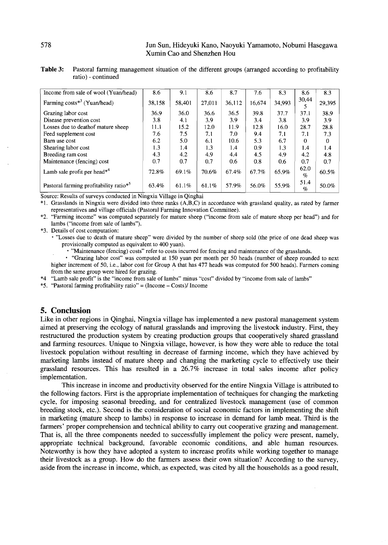### 578 Jun Sun, Hideyuki Kano, Naoyuki Yamamoto, Nobumi Hasegawa Xumin Cao and Shenzhen Hou

| Table 3: Pastoral farming management situation of the different groups (arranged according to profitability |
|-------------------------------------------------------------------------------------------------------------|
| ratio) - continued                                                                                          |

| Income from sale of wool (Yuan/head)               | 8.6    | 9.1    | 8.6    | 8.7    | 7.6    | 8.3    | 8.6             | 8.3      |
|----------------------------------------------------|--------|--------|--------|--------|--------|--------|-----------------|----------|
|                                                    |        |        |        |        |        |        |                 |          |
| Farming $costs^{*3}$ (Yuan/head)                   | 38,158 | 58,401 | 27,011 | 36,112 | 16.674 | 34,993 | 30,44           | 29,395   |
|                                                    |        |        |        |        |        |        |                 |          |
| Grazing labor cost                                 | 36.9   | 36.0   | 36.6   | 36.5   | 39.8   | 37.7   | 37.1            | 38.9     |
| Disease prevention cost                            | 3.8    | 4.1    | 3.9    | 3.9    | 3.4    | 3.8    | 3.9             | 3.9      |
| Losses due to death of mature sheep                | 11.1   | 15.2   | 12.0   | 11.9   | 12.8   | 16.0   | 28.7            | 28.8     |
| Feed supplement cost                               | 7.6    | 7.5    | 7.1    | 7.0    | 9.4    | 7.1    | 7.1             | 7.3      |
| Barn use cost                                      | 6.2    | 5.0    | 6.1    | 10.6   | 5.3    | 6.7    | $\Omega$        | $\Omega$ |
| Shearing labor cost                                | 1.3    | 1.4    | 1.3    | 1.4    | 0.9    | 1.3    | 1.4             | 1.4      |
| Breeding ram cost                                  | 4.3    | 4.2    | 4.9    | 4.4    | 4.5    | 4.9    | 4.2             | 4.8      |
| Maintenance (fencing) cost                         | 0.7    | 0.7    | 0.7    | 0.6    | 0.8    | 0.6    | 0.7             | 0.7      |
| Lamb sale profit per head $*4$                     | 72.8%  | 69.1%  | 70.6%  | 67.4%  | 67.7%  | 65.9%  | 62.0            | 60.5%    |
|                                                    |        |        |        |        |        |        | $\%$            |          |
| Pastoral farming profitability ratio* <sup>5</sup> | 63.4%  | 61.1%  | 61.1%  | 57.9%  | 56.0%  | 55.9%  | 51.4            | 50.0%    |
|                                                    |        |        |        |        |        |        | $\mathcal{G}_0$ |          |

Source: Results of surveys conducted in Ningxia Village in Oinghai

\*1. Grasslands in Ningxia were divided into three ranks (A,B,C) in accordance with grassland quality, as rated by farmer representatives and village officials (Pastoral Farming Innovation Committee).

\*2. "Farming income" was computed separately for mature sheep ("income from sale of mature sheep per head") and for lambs ("income from sale of lambs").

\*3. Details of cost computation:

• "Losses due to death of mature sheep" were divided by the number of sheep sold (the price of one dead sheep was provisionally computed as equivalent to 400 yuan).

• "Maintenance (fencing) costs" refer to costs incurred for fencing and maintenance of the grasslands.

• "Grazing labor cost" was computed at 150 yuan per month per 50 heads (number of sheep rounded to next higher increment of 50, i.e., labor cost for Group A that has 477 heads was computed for 500 heads). Farmers coming from the same group were hired for grazing.

\*4 "Lamb sale profit" is the "income from sale of lambs" minus "cost" divided by "income from sale of lambs"

\*5. "Pastoral farming profitability ratio" =  $(Income - Costs)/Income$ 

## **5. Conclusion**

Like in other regions in Qinghai, Ningxia village has implemented a new pastoral management system aimed at preserving the ecology of natural grasslands and improving the livestock industry. First, they restructured the production system by creating production groups that cooperatively shared grassland and farming resources. Unique to Ningxia village, however, is how they were able to reduce the total livestock population without resulting in decrease of farming income, which they have achieved by marketing lambs instead of mature sheep and changing the marketing cycle to effectively use their grassland resources. This has resulted in a 26.7% increase in total sales income after policy implementation.

This increase in income and productivity observed for the entire Ningxia Village is attributed to the following factors. First is the appropriate implementation of techniques for changing the marketing cycle, for imposing seasonal breeding, and for centralized livestock management (use of common breeding stock, etc.). Second is the consideration of social economic factors in implementing the shift in marketing (mature sheep to lambs) in response to increase in demand for lamb meat. Third is the farmers' proper comprehension and technical ability to carry out cooperative grazing and management. That is, all the three components needed to successfully implement the policy were present, namely, appropriate technical background, favorable economic conditions, and able human resources. Noteworthy is how they have adopted a system to increase profits while working together to manage their livestock as a group. How do the farmers assess their own situation? According to the survey, aside from the increase in income, which, as expected, was cited by all the households as a good result,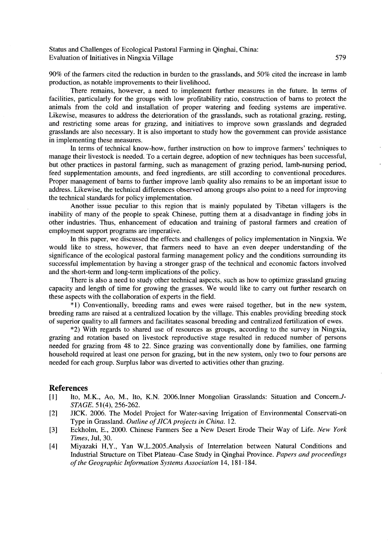Status and Challenges of Ecological Pastoral Farming in Qinghai, China: Evaluation of Initiatives in Ningxia Village 579

90% of the farmers cited the reduction in burden to the grasslands, and 50% cited the increase in lamb production, as notable improvements to their livelihood.

There remains, however, a need to implement further measures in the future. In terms of facilities, particularly for the groups with low profitability ratio, construction of barns to protect the animals from the cold and installation of proper watering and feeding systems are imperative. Likewise, measures to address the deterioration of the grasslands, such as rotational grazing, resting, and restricting some areas for grazing, and initiatives to improve sown grasslands and degraded grasslands are also necessary. It is also important to study how the government can provide assistance in implementing these measures.

In terms of technical know-how, further instruction on how to improve farmers' techniques to manage their livestock is needed. To a certain degree, adoption of new techniques has been successful, but other practices in pastoral farming, such as management of grazing period, lamb-nursing period, feed supplementation amounts, and feed ingredients, are still according to conventional procedures. Proper management of barns to further improve lamb quality also remains to be an important issue to address. Likewise, the technical differences observed among groups also point to a need for improving the technical standards for policy implementation.

Another issue peculiar to this region that is mainly populated by Tibetan villagers is the inability of many of the people to speak Chinese, putting them at a disadvantage in finding jobs in other industries. Thus, enhancement of education and training of pastoral farmers and creation of employment support programs are imperative.

In this paper, we discussed the effects and challenges of policy implementation in Ningxia. We would like to stress, however, that farmers need to have an even deeper understanding of the significance of the ecological pastoral farming management policy and the conditions surrounding its successful implementation by having a stronger grasp of the technical and economic factors involved and the short-term and long-term implications of the policy.

There is also a need to study other technical aspects, such as how to optimize grassland grazing capacity and length of time for growing the grasses. We would like to carry out further research on these aspects with the collaboration of experts in the field.

\*1) Conventionally, breeding rams and ewes were raised together, but in the new system, breeding rams are raised at a centralized location by the village. This enables providing breeding stock of superior quality to all farmers and facilitates seasonal breeding and centralized fertilization of ewes.

\*2) With regards to shared use of resources as groups, according to the survey in Ningxia, grazing and rotation based on livestock reproductive stage resulted in reduced number of persons needed for grazing from 48 to 22. Since grazing was conventionally done by families, one farming household required at least one person for grazing, but in the new system, only two to four persons are needed for each group. Surplus labor was diverted to activities other than grazing.

#### **References**

- [1] Ito, M.K., Ao, M., Ito, K.N. 2006.Inner Mongolian Grasslands: Situation and Concern.J-*STAGE.* 51(4), 256-262.
- [2] JICK. 2006. The Model Project for Water-saving Irrigation of Environmental Conservati-on Type in Grassland. *Outline ofJ/CA projects in China. 12.*
- [3] Eckholm, E., 2000. Chinese Farmers See a New Desert Erode Their Way of Life. *New York Times,* Jul, 30.
- [4] Miyazaki H,Y., Yan W,L.2005.Analysis of Interrelation between Natural Conditions and Industrial Structure on Tibet Plateau--case Study in Qinghai Province. *Papers and proceedings ofthe Geographic Information Systems Association* 14, 181-184.